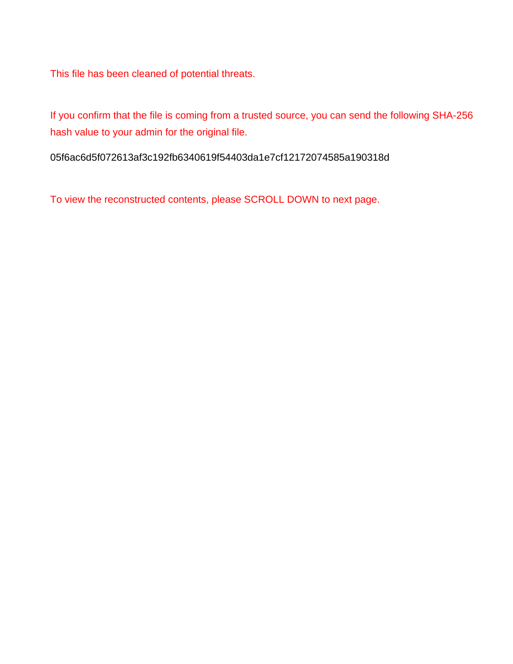This file has been cleaned of potential threats.

If you confirm that the file is coming from a trusted source, you can send the following SHA-256 hash value to your admin for the original file.

05f6ac6d5f072613af3c192fb6340619f54403da1e7cf12172074585a190318d

To view the reconstructed contents, please SCROLL DOWN to next page.